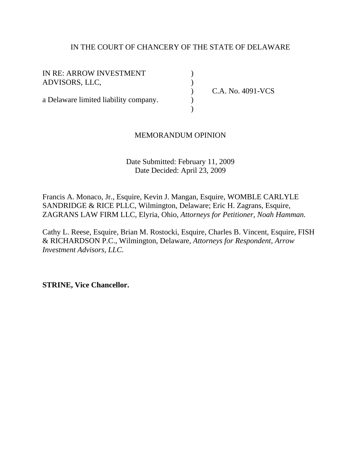# IN THE COURT OF CHANCERY OF THE STATE OF DELAWARE

IN RE: ARROW INVESTMENT (1) ADVISORS, LLC, )

) C.A. No. 4091-VCS

# a Delaware limited liability company.

 $)$ 

## MEMORANDUM OPINION

## Date Submitted: February 11, 2009 Date Decided: April 23, 2009

Francis A. Monaco, Jr., Esquire, Kevin J. Mangan, Esquire, WOMBLE CARLYLE SANDRIDGE & RICE PLLC, Wilmington, Delaware; Eric H. Zagrans, Esquire, ZAGRANS LAW FIRM LLC, Elyria, Ohio, *Attorneys for Petitioner, Noah Hamman.* 

Cathy L. Reese, Esquire, Brian M. Rostocki, Esquire, Charles B. Vincent, Esquire, FISH & RICHARDSON P.C., Wilmington, Delaware, *Attorneys for Respondent, Arrow Investment Advisors, LLC.* 

**STRINE, Vice Chancellor.**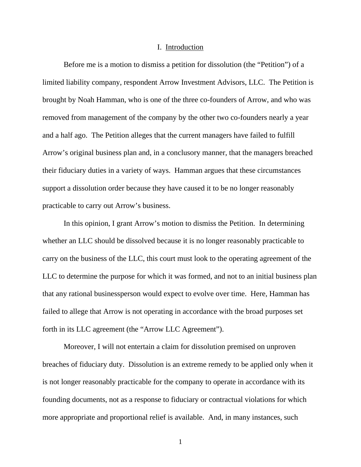#### I. Introduction

 Before me is a motion to dismiss a petition for dissolution (the "Petition") of a limited liability company, respondent Arrow Investment Advisors, LLC. The Petition is brought by Noah Hamman, who is one of the three co-founders of Arrow, and who was removed from management of the company by the other two co-founders nearly a year and a half ago. The Petition alleges that the current managers have failed to fulfill Arrow's original business plan and, in a conclusory manner, that the managers breached their fiduciary duties in a variety of ways. Hamman argues that these circumstances support a dissolution order because they have caused it to be no longer reasonably practicable to carry out Arrow's business.

 In this opinion, I grant Arrow's motion to dismiss the Petition. In determining whether an LLC should be dissolved because it is no longer reasonably practicable to carry on the business of the LLC, this court must look to the operating agreement of the LLC to determine the purpose for which it was formed, and not to an initial business plan that any rational businessperson would expect to evolve over time. Here, Hamman has failed to allege that Arrow is not operating in accordance with the broad purposes set forth in its LLC agreement (the "Arrow LLC Agreement").

 Moreover, I will not entertain a claim for dissolution premised on unproven breaches of fiduciary duty. Dissolution is an extreme remedy to be applied only when it is not longer reasonably practicable for the company to operate in accordance with its founding documents, not as a response to fiduciary or contractual violations for which more appropriate and proportional relief is available. And, in many instances, such

1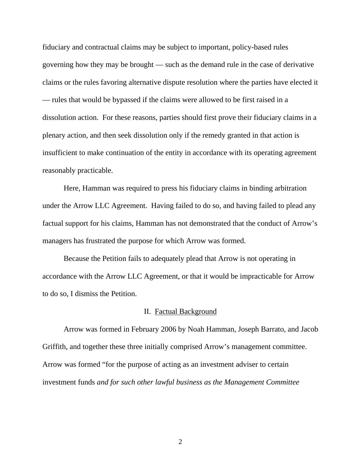fiduciary and contractual claims may be subject to important, policy-based rules governing how they may be brought — such as the demand rule in the case of derivative claims or the rules favoring alternative dispute resolution where the parties have elected it — rules that would be bypassed if the claims were allowed to be first raised in a dissolution action. For these reasons, parties should first prove their fiduciary claims in a plenary action, and then seek dissolution only if the remedy granted in that action is insufficient to make continuation of the entity in accordance with its operating agreement reasonably practicable.

Here, Hamman was required to press his fiduciary claims in binding arbitration under the Arrow LLC Agreement. Having failed to do so, and having failed to plead any factual support for his claims, Hamman has not demonstrated that the conduct of Arrow's managers has frustrated the purpose for which Arrow was formed.

Because the Petition fails to adequately plead that Arrow is not operating in accordance with the Arrow LLC Agreement, or that it would be impracticable for Arrow to do so, I dismiss the Petition.

## II. Factual Background

 Arrow was formed in February 2006 by Noah Hamman, Joseph Barrato, and Jacob Griffith, and together these three initially comprised Arrow's management committee. Arrow was formed "for the purpose of acting as an investment adviser to certain investment funds *and for such other lawful business as the Management Committee* 

2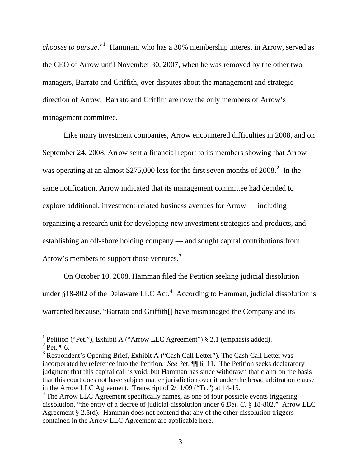*chooses to pursue*."[1](#page-3-0) Hamman, who has a 30% membership interest in Arrow, served as the CEO of Arrow until November 30, 2007, when he was removed by the other two managers, Barrato and Griffith, over disputes about the management and strategic direction of Arrow. Barrato and Griffith are now the only members of Arrow's management committee.

 Like many investment companies, Arrow encountered difficulties in 2008, and on September 24, 2008, Arrow sent a financial report to its members showing that Arrow was operating at an almost \$[2](#page-3-1)75,000 loss for the first seven months of  $2008.<sup>2</sup>$  In the same notification, Arrow indicated that its management committee had decided to explore additional, investment-related business avenues for Arrow — including organizing a research unit for developing new investment strategies and products, and establishing an off-shore holding company — and sought capital contributions from Arrow's members to support those ventures.<sup>[3](#page-3-2)</sup>

On October 10, 2008, Hamman filed the Petition seeking judicial dissolution under §18-802 of the Delaware LLC Act.<sup>[4](#page-3-3)</sup> According to Hamman, judicial dissolution is warranted because, "Barrato and Griffith[] have mismanaged the Company and its

<span id="page-3-2"></span><sup>3</sup> Respondent's Opening Brief, Exhibit A ("Cash Call Letter"). The Cash Call Letter was incorporated by reference into the Petition. *See* Pet. ¶¶ 6, 11. The Petition seeks declaratory judgment that this capital call is void, but Hamman has since withdrawn that claim on the basis that this court does not have subject matter jurisdiction over it under the broad arbitration clause in the Arrow LLC Agreement. Transcript of 2/11/09 ("Tr.") at 14-15.

<span id="page-3-0"></span><sup>&</sup>lt;sup>1</sup> Petition ("Pet."), Exhibit A ("Arrow LLC Agreement") § 2.1 (emphasis added).

<span id="page-3-1"></span> $2$  Pet.  $\P$  6.

<span id="page-3-3"></span><sup>&</sup>lt;sup>4</sup> The Arrow LLC Agreement specifically names, as one of four possible events triggering dissolution, "the entry of a decree of judicial dissolution under 6 *Del. C.* § 18-802." Arrow LLC Agreement § 2.5(d). Hamman does not contend that any of the other dissolution triggers contained in the Arrow LLC Agreement are applicable here.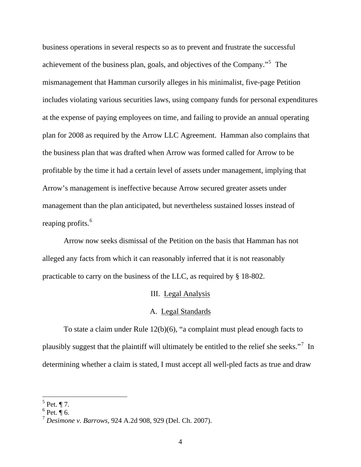business operations in several respects so as to prevent and frustrate the successful achievement of the business plan, goals, and objectives of the Company."<sup>[5](#page-4-0)</sup> The mismanagement that Hamman cursorily alleges in his minimalist, five-page Petition includes violating various securities laws, using company funds for personal expenditures at the expense of paying employees on time, and failing to provide an annual operating plan for 2008 as required by the Arrow LLC Agreement. Hamman also complains that the business plan that was drafted when Arrow was formed called for Arrow to be profitable by the time it had a certain level of assets under management, implying that Arrow's management is ineffective because Arrow secured greater assets under management than the plan anticipated, but nevertheless sustained losses instead of reaping profits.<sup>[6](#page-4-1)</sup>

 Arrow now seeks dismissal of the Petition on the basis that Hamman has not alleged any facts from which it can reasonably inferred that it is not reasonably practicable to carry on the business of the LLC, as required by § 18-802.

## III. Legal Analysis

## A. Legal Standards

 To state a claim under Rule 12(b)(6), "a complaint must plead enough facts to plausibly suggest that the plaintiff will ultimately be entitled to the relief she seeks."<sup>[7](#page-4-2)</sup> In determining whether a claim is stated, I must accept all well-pled facts as true and draw

<span id="page-4-0"></span> $<sup>5</sup>$  Pet. ¶ 7.</sup>

<span id="page-4-1"></span> $6$  Pet.  $\overline{\P}$  6.

<span id="page-4-2"></span><sup>7</sup> *Desimone v. Barrows*, 924 A.2d 908, 929 (Del. Ch. 2007).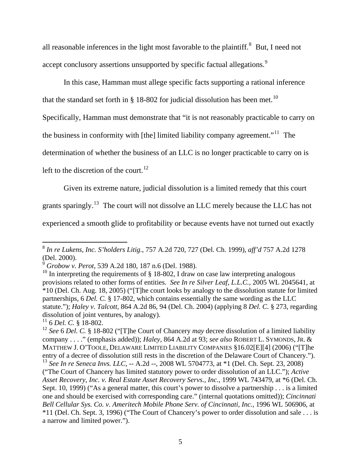all reasonable inferences in the light most favorable to the plaintiff.<sup>[8](#page-5-0)</sup> But, I need not accept conclusory assertions unsupported by specific factual allegations.<sup>[9](#page-5-1)</sup>

In this case, Hamman must allege specific facts supporting a rational inference

that the standard set forth in  $\S$  18-802 for judicial dissolution has been met.<sup>[10](#page-5-2)</sup>

Specifically, Hamman must demonstrate that "it is not reasonably practicable to carry on

the business in conformity with [the] limited liability company agreement."[11](#page-5-3) The

determination of whether the business of an LLC is no longer practicable to carry on is

left to the discretion of the court.<sup>[12](#page-5-4)</sup>

Given its extreme nature, judicial dissolution is a limited remedy that this court

grants sparingly.<sup>[13](#page-5-5)</sup> The court will not dissolve an LLC merely because the LLC has not

experienced a smooth glide to profitability or because events have not turned out exactly

<span id="page-5-3"></span>11 6 *Del. C.* § 18-802.

<span id="page-5-0"></span><sup>8</sup> *In re Lukens, Inc. S'holders Litig.*, 757 A.2d 720, 727 (Del. Ch. 1999), *aff'd* 757 A.2d 1278 (Del. 2000).

<span id="page-5-1"></span><sup>9</sup> *Grobow v. Perot*, 539 A.2d 180, 187 n.6 (Del. 1988).

<span id="page-5-2"></span><sup>&</sup>lt;sup>10</sup> In interpreting the requirements of  $\S$  18-802, I draw on case law interpreting analogous provisions related to other forms of entities. *See In re Silver Leaf, L.L.C.*, 2005 WL 2045641, at \*10 (Del. Ch. Aug. 18, 2005) ("[T]he court looks by analogy to the dissolution statute for limited partnerships, 6 *Del. C.* § 17-802, which contains essentially the same wording as the LLC statute."); *Haley v. Talcott*, 864 A.2d 86, 94 (Del. Ch. 2004) (applying 8 *Del. C.* § 273, regarding dissolution of joint ventures, by analogy).

<span id="page-5-5"></span><span id="page-5-4"></span><sup>12</sup> *See* 6 *Del. C.* § 18-802 ("[T]he Court of Chancery *may* decree dissolution of a limited liability company . . . ." (emphasis added)); *Haley*, 864 A.2d at 93; *see also* ROBERT L. SYMONDS, JR. & MATTHEW J. O'TOOLE, DELAWARE LIMITED LIABILITY COMPANIES §16.02[E][4] (2006) ("[T]he entry of a decree of dissolution still rests in the discretion of the Delaware Court of Chancery."). <sup>13</sup> See In re Seneca Invs. LLC, -- A.2d --, 2008 WL 5704773, at \*1 (Del. Ch. Sept. 23, 2008) ("The Court of Chancery has limited statutory power to order dissolution of an LLC."); *Active Asset Recovery, Inc. v. Real Estate Asset Recovery Servs., Inc.*, 1999 WL 743479, at \*6 (Del. Ch. Sept. 10, 1999) ("As a general matter, this court's power to dissolve a partnership . . . is a limited one and should be exercised with corresponding care." (internal quotations omitted)); *Cincinnati Bell Cellular Sys. Co. v. Ameritech Mobile Phone Serv. of Cincinnati, Inc.*, 1996 WL 506906, at \*11 (Del. Ch. Sept. 3, 1996) ("The Court of Chancery's power to order dissolution and sale . . . is a narrow and limited power.").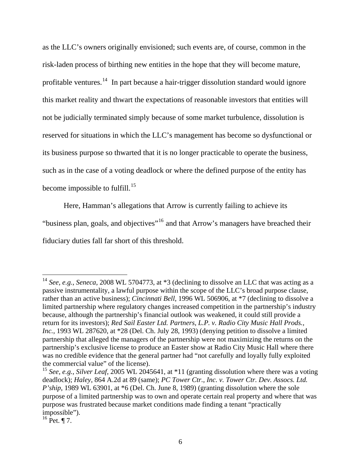as the LLC's owners originally envisioned; such events are, of course, common in the risk-laden process of birthing new entities in the hope that they will become mature, profitable ventures.[14](#page-6-0) In part because a hair-trigger dissolution standard would ignore this market reality and thwart the expectations of reasonable investors that entities will not be judicially terminated simply because of some market turbulence, dissolution is reserved for situations in which the LLC's management has become so dysfunctional or its business purpose so thwarted that it is no longer practicable to operate the business, such as in the case of a voting deadlock or where the defined purpose of the entity has become impossible to fulfill. $^{15}$  $^{15}$  $^{15}$ 

Here, Hamman's allegations that Arrow is currently failing to achieve its "business plan, goals, and objectives"<sup>[16](#page-6-2)</sup> and that Arrow's managers have breached their fiduciary duties fall far short of this threshold.

<span id="page-6-2"></span> $^{16}$  Pet. ¶ 7.

<span id="page-6-0"></span><sup>14</sup> *See, e.g.*, *Seneca*, 2008 WL 5704773, at \*3 (declining to dissolve an LLC that was acting as a passive instrumentality, a lawful purpose within the scope of the LLC's broad purpose clause, rather than an active business); *Cincinnati Bell*, 1996 WL 506906, at \*7 (declining to dissolve a limited partnership where regulatory changes increased competition in the partnership's industry because, although the partnership's financial outlook was weakened, it could still provide a return for its investors); *Red Sail Easter Ltd. Partners, L.P. v. Radio City Music Hall Prods., Inc.*, 1993 WL 287620, at \*28 (Del. Ch. July 28, 1993) (denying petition to dissolve a limited partnership that alleged the managers of the partnership were not maximizing the returns on the partnership's exclusive license to produce an Easter show at Radio City Music Hall where there was no credible evidence that the general partner had "not carefully and loyally fully exploited the commercial value" of the license).

<span id="page-6-1"></span><sup>15</sup> *See, e.g.*, *Silver Leaf*, 2005 WL 2045641, at \*11 (granting dissolution where there was a voting deadlock); *Haley*, 864 A.2d at 89 (same); *PC Tower Ctr., Inc. v. Tower Ctr. Dev. Assocs. Ltd. P'ship*, 1989 WL 63901, at \*6 (Del. Ch. June 8, 1989) (granting dissolution where the sole purpose of a limited partnership was to own and operate certain real property and where that was purpose was frustrated because market conditions made finding a tenant "practically impossible").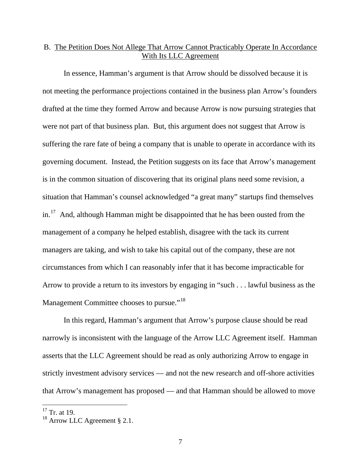# B. The Petition Does Not Allege That Arrow Cannot Practicably Operate In Accordance With Its LLC Agreement

In essence, Hamman's argument is that Arrow should be dissolved because it is not meeting the performance projections contained in the business plan Arrow's founders drafted at the time they formed Arrow and because Arrow is now pursuing strategies that were not part of that business plan. But, this argument does not suggest that Arrow is suffering the rare fate of being a company that is unable to operate in accordance with its governing document. Instead, the Petition suggests on its face that Arrow's management is in the common situation of discovering that its original plans need some revision, a situation that Hamman's counsel acknowledged "a great many" startups find themselves  $in.<sup>17</sup>$  $in.<sup>17</sup>$  $in.<sup>17</sup>$  And, although Hamman might be disappointed that he has been ousted from the management of a company he helped establish, disagree with the tack its current managers are taking, and wish to take his capital out of the company, these are not circumstances from which I can reasonably infer that it has become impracticable for Arrow to provide a return to its investors by engaging in "such . . . lawful business as the Management Committee chooses to pursue."<sup>[18](#page-7-1)</sup>

 In this regard, Hamman's argument that Arrow's purpose clause should be read narrowly is inconsistent with the language of the Arrow LLC Agreement itself. Hamman asserts that the LLC Agreement should be read as only authorizing Arrow to engage in strictly investment advisory services — and not the new research and off-shore activities that Arrow's management has proposed — and that Hamman should be allowed to move

<span id="page-7-0"></span> $17$  Tr. at 19.

<span id="page-7-1"></span><sup>18</sup> Arrow LLC Agreement § 2.1.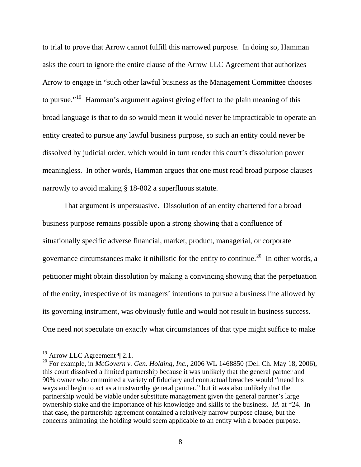to trial to prove that Arrow cannot fulfill this narrowed purpose. In doing so, Hamman asks the court to ignore the entire clause of the Arrow LLC Agreement that authorizes Arrow to engage in "such other lawful business as the Management Committee chooses to pursue."<sup>[19](#page-8-0)</sup> Hamman's argument against giving effect to the plain meaning of this broad language is that to do so would mean it would never be impracticable to operate an entity created to pursue any lawful business purpose, so such an entity could never be dissolved by judicial order, which would in turn render this court's dissolution power meaningless. In other words, Hamman argues that one must read broad purpose clauses narrowly to avoid making § 18-802 a superfluous statute.

That argument is unpersuasive. Dissolution of an entity chartered for a broad business purpose remains possible upon a strong showing that a confluence of situationally specific adverse financial, market, product, managerial, or corporate governance circumstances make it nihilistic for the entity to continue.[20](#page-8-1) In other words, a petitioner might obtain dissolution by making a convincing showing that the perpetuation of the entity, irrespective of its managers' intentions to pursue a business line allowed by its governing instrument, was obviously futile and would not result in business success. One need not speculate on exactly what circumstances of that type might suffice to make

 $19$  Arrow LLC Agreement  $\P$  2.1.

<span id="page-8-1"></span><span id="page-8-0"></span><sup>&</sup>lt;sup>20</sup> For example, in *McGovern v. Gen. Holding, Inc.*, 2006 WL 1468850 (Del. Ch. May 18, 2006), this court dissolved a limited partnership because it was unlikely that the general partner and 90% owner who committed a variety of fiduciary and contractual breaches would "mend his ways and begin to act as a trustworthy general partner," but it was also unlikely that the partnership would be viable under substitute management given the general partner's large ownership stake and the importance of his knowledge and skills to the business. *Id.* at \*24. In that case, the partnership agreement contained a relatively narrow purpose clause, but the concerns animating the holding would seem applicable to an entity with a broader purpose.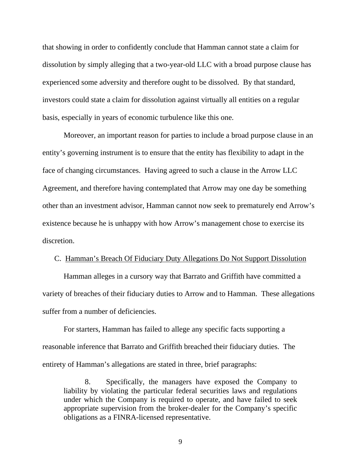that showing in order to confidently conclude that Hamman cannot state a claim for dissolution by simply alleging that a two-year-old LLC with a broad purpose clause has experienced some adversity and therefore ought to be dissolved. By that standard, investors could state a claim for dissolution against virtually all entities on a regular basis, especially in years of economic turbulence like this one.

Moreover, an important reason for parties to include a broad purpose clause in an entity's governing instrument is to ensure that the entity has flexibility to adapt in the face of changing circumstances. Having agreed to such a clause in the Arrow LLC Agreement, and therefore having contemplated that Arrow may one day be something other than an investment advisor, Hamman cannot now seek to prematurely end Arrow's existence because he is unhappy with how Arrow's management chose to exercise its discretion.

## C. Hamman's Breach Of Fiduciary Duty Allegations Do Not Support Dissolution

Hamman alleges in a cursory way that Barrato and Griffith have committed a variety of breaches of their fiduciary duties to Arrow and to Hamman. These allegations suffer from a number of deficiencies.

 For starters, Hamman has failed to allege any specific facts supporting a reasonable inference that Barrato and Griffith breached their fiduciary duties. The entirety of Hamman's allegations are stated in three, brief paragraphs:

8. Specifically, the managers have exposed the Company to liability by violating the particular federal securities laws and regulations under which the Company is required to operate, and have failed to seek appropriate supervision from the broker-dealer for the Company's specific obligations as a FINRA-licensed representative.

9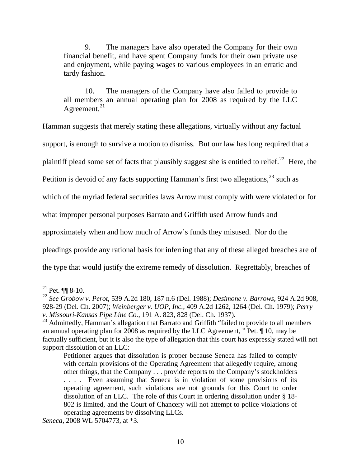9. The managers have also operated the Company for their own financial benefit, and have spent Company funds for their own private use and enjoyment, while paying wages to various employees in an erratic and tardy fashion.

10. The managers of the Company have also failed to provide to all members an annual operating plan for 2008 as required by the LLC Agreement. $^{21}$  $^{21}$  $^{21}$ 

Hamman suggests that merely stating these allegations, virtually without any factual

support, is enough to survive a motion to dismiss. But our law has long required that a

plaintiff plead some set of facts that plausibly suggest she is entitled to relief.<sup>[22](#page-10-1)</sup> Here, the

Petition is devoid of any facts supporting Hamman's first two allegations,  $^{23}$  $^{23}$  $^{23}$  such as

which of the myriad federal securities laws Arrow must comply with were violated or for

what improper personal purposes Barrato and Griffith used Arrow funds and

approximately when and how much of Arrow's funds they misused. Nor do the

pleadings provide any rational basis for inferring that any of these alleged breaches are of

the type that would justify the extreme remedy of dissolution. Regrettably, breaches of

<span id="page-10-0"></span><sup>&</sup>lt;sup>21</sup> Pet.  $\P\P$  8-10.

<span id="page-10-1"></span><sup>22</sup> *See Grobow v. Perot*, 539 A.2d 180, 187 n.6 (Del. 1988); *Desimone v. Barrows*, 924 A.2d 908, 928-29 (Del. Ch. 2007); *Weinberger v. UOP, Inc.*, 409 A.2d 1262, 1264 (Del. Ch. 1979); *Perry v. Missouri-Kansas Pipe Line Co.*, 191 A. 823, 828 (Del. Ch. 1937).

<span id="page-10-2"></span><sup>&</sup>lt;sup>23</sup> Admittedly, Hamman's allegation that Barrato and Griffith "failed to provide to all members an annual operating plan for 2008 as required by the LLC Agreement, " Pet. ¶ 10, may be factually sufficient, but it is also the type of allegation that this court has expressly stated will not support dissolution of an LLC:

Petitioner argues that dissolution is proper because Seneca has failed to comply with certain provisions of the Operating Agreement that allegedly require, among other things, that the Company . . . provide reports to the Company's stockholders . . . . Even assuming that Seneca is in violation of some provisions of its operating agreement, such violations are not grounds for this Court to order dissolution of an LLC. The role of this Court in ordering dissolution under § 18- 802 is limited, and the Court of Chancery will not attempt to police violations of operating agreements by dissolving LLCs.

*Seneca*, 2008 WL 5704773, at \*3.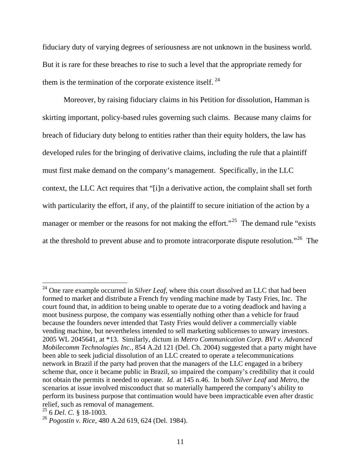fiduciary duty of varying degrees of seriousness are not unknown in the business world. But it is rare for these breaches to rise to such a level that the appropriate remedy for them is the termination of the corporate existence itself.  $24$ 

Moreover, by raising fiduciary claims in his Petition for dissolution, Hamman is skirting important, policy-based rules governing such claims. Because many claims for breach of fiduciary duty belong to entities rather than their equity holders, the law has developed rules for the bringing of derivative claims, including the rule that a plaintiff must first make demand on the company's management. Specifically, in the LLC context, the LLC Act requires that "[i]n a derivative action, the complaint shall set forth with particularity the effort, if any, of the plaintiff to secure initiation of the action by a manager or member or the reasons for not making the effort."<sup>[25](#page-11-1)</sup> The demand rule "exists" at the threshold to prevent abuse and to promote intracorporate dispute resolution."[26](#page-11-2) The

<span id="page-11-0"></span><sup>&</sup>lt;sup>24</sup> One rare example occurred in *Silver Leaf*, where this court dissolved an LLC that had been formed to market and distribute a French fry vending machine made by Tasty Fries, Inc. The court found that, in addition to being unable to operate due to a voting deadlock and having a moot business purpose, the company was essentially nothing other than a vehicle for fraud because the founders never intended that Tasty Fries would deliver a commercially viable vending machine, but nevertheless intended to sell marketing sublicenses to unwary investors. 2005 WL 2045641, at \*13. Similarly, dictum in *Metro Communication Corp. BVI v. Advanced Mobilecomm Technologies Inc.*, 854 A.2d 121 (Del. Ch. 2004) suggested that a party might have been able to seek judicial dissolution of an LLC created to operate a telecommunications network in Brazil if the party had proven that the managers of the LLC engaged in a bribery scheme that, once it became public in Brazil, so impaired the company's credibility that it could not obtain the permits it needed to operate. *Id.* at 145 n.46. In both *Silver Leaf* and *Metro*, the scenarios at issue involved misconduct that so materially hampered the company's ability to perform its business purpose that continuation would have been impracticable even after drastic relief, such as removal of management.

<span id="page-11-1"></span><sup>25 6</sup> *Del. C.* § 18-1003.

<span id="page-11-2"></span><sup>26</sup> *Pogostin v. Rice*, 480 A.2d 619, 624 (Del. 1984).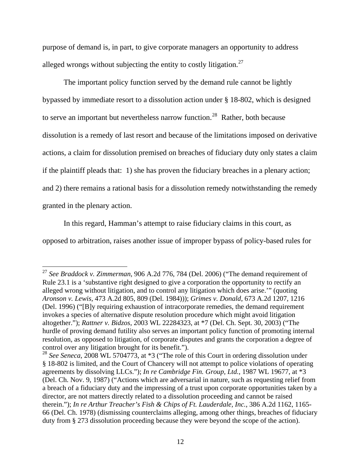purpose of demand is, in part, to give corporate managers an opportunity to address alleged wrongs without subjecting the entity to costly litigation.<sup>[27](#page-12-0)</sup>

The important policy function served by the demand rule cannot be lightly bypassed by immediate resort to a dissolution action under § 18-802, which is designed to serve an important but nevertheless narrow function.<sup>[28](#page-12-1)</sup> Rather, both because dissolution is a remedy of last resort and because of the limitations imposed on derivative actions, a claim for dissolution premised on breaches of fiduciary duty only states a claim if the plaintiff pleads that: 1) she has proven the fiduciary breaches in a plenary action; and 2) there remains a rational basis for a dissolution remedy notwithstanding the remedy granted in the plenary action.

In this regard, Hamman's attempt to raise fiduciary claims in this court, as opposed to arbitration, raises another issue of improper bypass of policy-based rules for

<span id="page-12-0"></span><sup>27</sup> *See Braddock v. Zimmerman*, 906 A.2d 776, 784 (Del. 2006) ("The demand requirement of Rule 23.1 is a 'substantive right designed to give a corporation the opportunity to rectify an alleged wrong without litigation, and to control any litigation which does arise.'" (quoting *Aronson v. Lewis,* 473 A.2d 805, 809 (Del. 1984))); *Grimes v. Donald*, 673 A.2d 1207, 1216 (Del. 1996) ("[B]y requiring exhaustion of intracorporate remedies, the demand requirement invokes a species of alternative dispute resolution procedure which might avoid litigation altogether."); *Rattner v. Bidzos*, 2003 WL 22284323, at \*7 (Del. Ch. Sept. 30, 2003) ("The hurdle of proving demand futility also serves an important policy function of promoting internal resolution, as opposed to litigation, of corporate disputes and grants the corporation a degree of control over any litigation brought for its benefit.").

<span id="page-12-1"></span><sup>28</sup> *See Seneca*, 2008 WL 5704773, at \*3 ("The role of this Court in ordering dissolution under § 18-802 is limited, and the Court of Chancery will not attempt to police violations of operating agreements by dissolving LLCs."); *In re Cambridge Fin. Group, Ltd.*, 1987 WL 19677, at \*3 (Del. Ch. Nov. 9, 1987) ("Actions which are adversarial in nature, such as requesting relief from a breach of a fiduciary duty and the impressing of a trust upon corporate opportunities taken by a director, are not matters directly related to a dissolution proceeding and cannot be raised therein."); *In re Arthur Treacher's Fish & Chips of Ft. Lauderdale, Inc.*, 386 A.2d 1162, 1165- 66 (Del. Ch. 1978) (dismissing counterclaims alleging, among other things, breaches of fiduciary duty from § 273 dissolution proceeding because they were beyond the scope of the action).